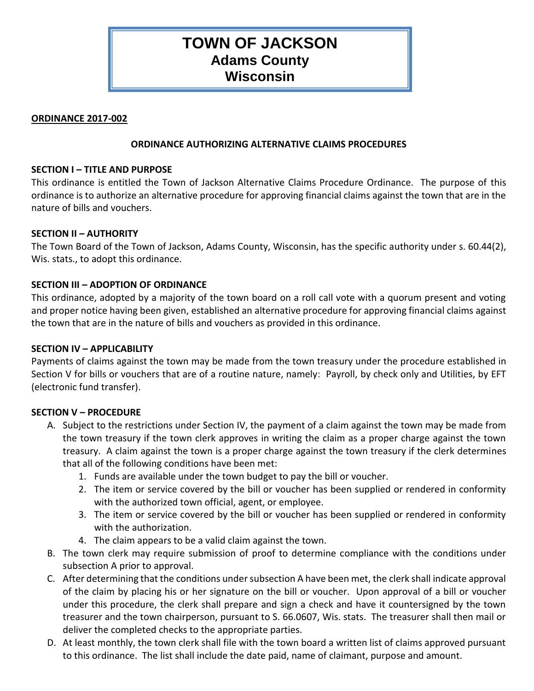# **TOWN OF JACKSON Adams County Wisconsin**

#### **ORDINANCE 2017-002**

## **ORDINANCE AUTHORIZING ALTERNATIVE CLAIMS PROCEDURES**

## **SECTION I – TITLE AND PURPOSE**

This ordinance is entitled the Town of Jackson Alternative Claims Procedure Ordinance. The purpose of this ordinance is to authorize an alternative procedure for approving financial claims against the town that are in the nature of bills and vouchers.

## **SECTION II – AUTHORITY**

The Town Board of the Town of Jackson, Adams County, Wisconsin, has the specific authority under s. 60.44(2), Wis. stats., to adopt this ordinance.

## **SECTION III – ADOPTION OF ORDINANCE**

This ordinance, adopted by a majority of the town board on a roll call vote with a quorum present and voting and proper notice having been given, established an alternative procedure for approving financial claims against the town that are in the nature of bills and vouchers as provided in this ordinance.

#### **SECTION IV – APPLICABILITY**

Payments of claims against the town may be made from the town treasury under the procedure established in Section V for bills or vouchers that are of a routine nature, namely: Payroll, by check only and Utilities, by EFT (electronic fund transfer).

#### **SECTION V – PROCEDURE**

- A. Subject to the restrictions under Section IV, the payment of a claim against the town may be made from the town treasury if the town clerk approves in writing the claim as a proper charge against the town treasury. A claim against the town is a proper charge against the town treasury if the clerk determines that all of the following conditions have been met:
	- 1. Funds are available under the town budget to pay the bill or voucher.
	- 2. The item or service covered by the bill or voucher has been supplied or rendered in conformity with the authorized town official, agent, or employee.
	- 3. The item or service covered by the bill or voucher has been supplied or rendered in conformity with the authorization.
	- 4. The claim appears to be a valid claim against the town.
- B. The town clerk may require submission of proof to determine compliance with the conditions under subsection A prior to approval.
- C. After determining that the conditions under subsection A have been met, the clerk shall indicate approval of the claim by placing his or her signature on the bill or voucher. Upon approval of a bill or voucher under this procedure, the clerk shall prepare and sign a check and have it countersigned by the town treasurer and the town chairperson, pursuant to S. 66.0607, Wis. stats. The treasurer shall then mail or deliver the completed checks to the appropriate parties.
- D. At least monthly, the town clerk shall file with the town board a written list of claims approved pursuant to this ordinance. The list shall include the date paid, name of claimant, purpose and amount.